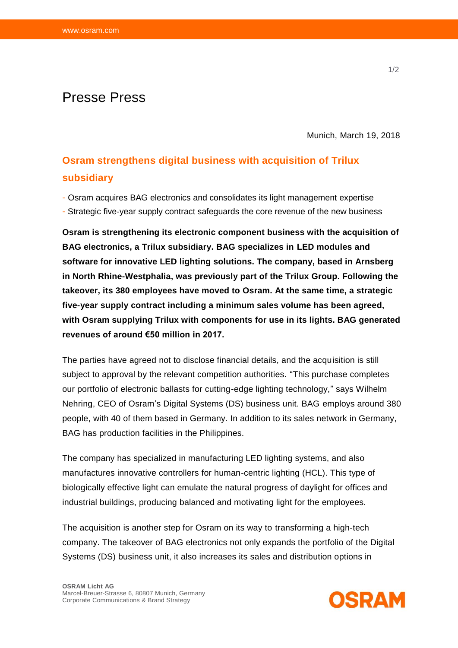## Presse Press

Munich, March 19, 2018

## **Osram strengthens digital business with acquisition of Trilux subsidiary**

- Osram acquires BAG electronics and consolidates its light management expertise
- Strategic five-year supply contract safeguards the core revenue of the new business

**Osram is strengthening its electronic component business with the acquisition of BAG electronics, a Trilux subsidiary. BAG specializes in LED modules and software for innovative LED lighting solutions. The company, based in Arnsberg in North Rhine-Westphalia, was previously part of the Trilux Group. Following the takeover, its 380 employees have moved to Osram. At the same time, a strategic five-year supply contract including a minimum sales volume has been agreed, with Osram supplying Trilux with components for use in its lights. BAG generated revenues of around €50 million in 2017.**

The parties have agreed not to disclose financial details, and the acquisition is still subject to approval by the relevant competition authorities. "This purchase completes our portfolio of electronic ballasts for cutting-edge lighting technology," says Wilhelm Nehring, CEO of Osram's Digital Systems (DS) business unit. BAG employs around 380 people, with 40 of them based in Germany. In addition to its sales network in Germany, BAG has production facilities in the Philippines.

The company has specialized in manufacturing LED lighting systems, and also manufactures innovative controllers for human-centric lighting (HCL). This type of biologically effective light can emulate the natural progress of daylight for offices and industrial buildings, producing balanced and motivating light for the employees.

The acquisition is another step for Osram on its way to transforming a high-tech company. The takeover of BAG electronics not only expands the portfolio of the Digital Systems (DS) business unit, it also increases its sales and distribution options in